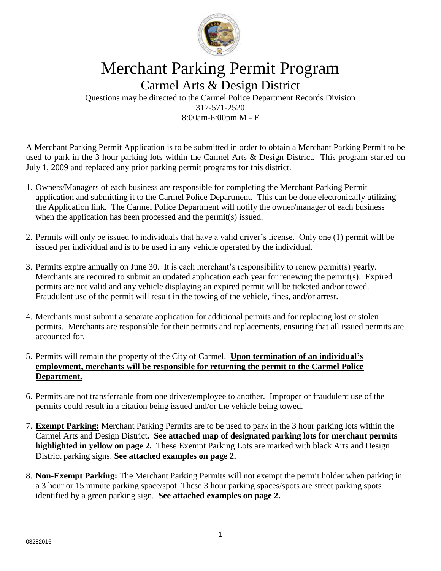

## Merchant Parking Permit Program

Carmel Arts & Design District Questions may be directed to the Carmel Police Department Records Division 317-571-2520 8:00am-6:00pm M - F

A Merchant Parking Permit Application is to be submitted in order to obtain a Merchant Parking Permit to be used to park in the 3 hour parking lots within the Carmel Arts & Design District. This program started on July 1, 2009 and replaced any prior parking permit programs for this district.

- 1. Owners/Managers of each business are responsible for completing the Merchant Parking Permit application and submitting it to the Carmel Police Department. This can be done electronically utilizing the Application link. The Carmel Police Department will notify the owner/manager of each business when the application has been processed and the permit(s) issued.
- 2. Permits will only be issued to individuals that have a valid driver's license. Only one (1) permit will be issued per individual and is to be used in any vehicle operated by the individual.
- 3. Permits expire annually on June 30. It is each merchant's responsibility to renew permit(s) yearly. Merchants are required to submit an updated application each year for renewing the permit(s). Expired permits are not valid and any vehicle displaying an expired permit will be ticketed and/or towed. Fraudulent use of the permit will result in the towing of the vehicle, fines, and/or arrest.
- 4. Merchants must submit a separate application for additional permits and for replacing lost or stolen permits. Merchants are responsible for their permits and replacements, ensuring that all issued permits are accounted for.
- 5. Permits will remain the property of the City of Carmel. **Upon termination of an individual's employment, merchants will be responsible for returning the permit to the Carmel Police Department.**
- 6. Permits are not transferrable from one driver/employee to another. Improper or fraudulent use of the permits could result in a citation being issued and/or the vehicle being towed.
- 7. **Exempt Parking:** Merchant Parking Permits are to be used to park in the 3 hour parking lots within the Carmel Arts and Design District**. See attached map of designated parking lots for merchant permits highlighted in yellow on page 2.** These Exempt Parking Lots are marked with black Arts and Design District parking signs. **See attached examples on page 2.**
- 8. **Non-Exempt Parking:** The Merchant Parking Permits will not exempt the permit holder when parking in a 3 hour or 15 minute parking space/spot. These 3 hour parking spaces/spots are street parking spots identified by a green parking sign. **See attached examples on page 2.**